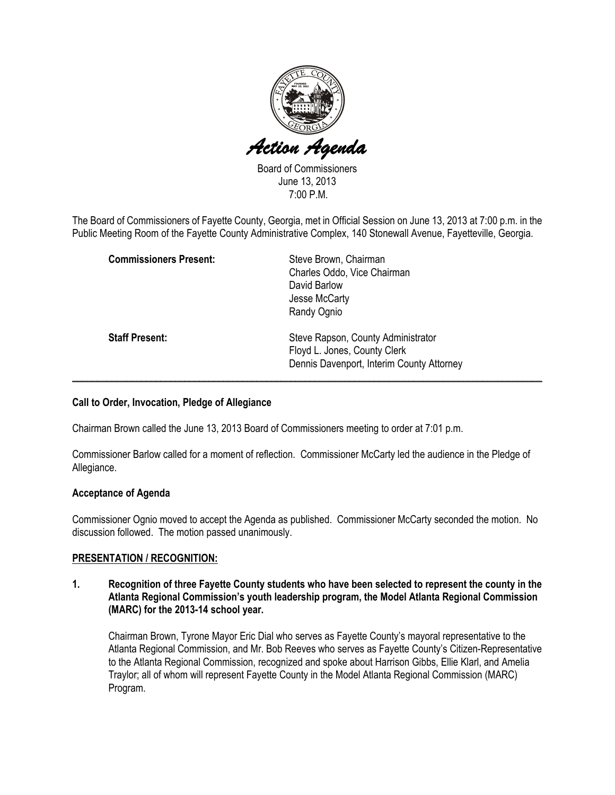

Board of Commissioners June 13, 2013 7:00 P.M.

The Board of Commissioners of Fayette County, Georgia, met in Official Session on June 13, 2013 at 7:00 p.m. in the Public Meeting Room of the Fayette County Administrative Complex, 140 Stonewall Avenue, Fayetteville, Georgia.

| <b>Commissioners Present:</b> | Steve Brown, Chairman<br>Charles Oddo, Vice Chairman<br>David Barlow<br>Jesse McCarty<br>Randy Ognio            |
|-------------------------------|-----------------------------------------------------------------------------------------------------------------|
| <b>Staff Present:</b>         | Steve Rapson, County Administrator<br>Floyd L. Jones, County Clerk<br>Dennis Davenport, Interim County Attorney |

## Call to Order, Invocation, Pledge of Allegiance

Chairman Brown called the June 13, 2013 Board of Commissioners meeting to order at 7:01 p.m.

Commissioner Barlow called for a moment of reflection. Commissioner McCarty led the audience in the Pledge of Allegiance.

#### Acceptance of Agenda

Commissioner Ognio moved to accept the Agenda as published. Commissioner McCarty seconded the motion. No discussion followed. The motion passed unanimously.

#### PRESENTATION / RECOGNITION:

1. Recognition of three Fayette County students who have been selected to represent the county in the Atlanta Regional Commission's youth leadership program, the Model Atlanta Regional Commission (MARC) for the 2013-14 school year.

Chairman Brown, Tyrone Mayor Eric Dial who serves as Fayette County's mayoral representative to the Atlanta Regional Commission, and Mr. Bob Reeves who serves as Fayette County's Citizen-Representative to the Atlanta Regional Commission, recognized and spoke about Harrison Gibbs, Ellie Klarl, and Amelia Traylor; all of whom will represent Fayette County in the Model Atlanta Regional Commission (MARC) Program.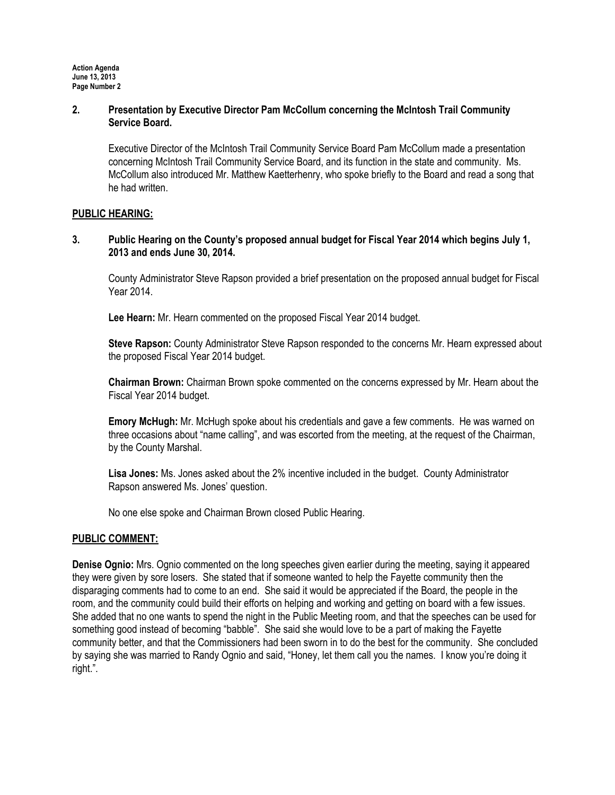#### 2. Presentation by Executive Director Pam McCollum concerning the McIntosh Trail Community Service Board.

Executive Director of the McIntosh Trail Community Service Board Pam McCollum made a presentation concerning McIntosh Trail Community Service Board, and its function in the state and community. Ms. McCollum also introduced Mr. Matthew Kaetterhenry, who spoke briefly to the Board and read a song that he had written.

## PUBLIC HEARING:

3. Public Hearing on the County's proposed annual budget for Fiscal Year 2014 which begins July 1, 2013 and ends June 30, 2014.

County Administrator Steve Rapson provided a brief presentation on the proposed annual budget for Fiscal Year 2014.

Lee Hearn: Mr. Hearn commented on the proposed Fiscal Year 2014 budget.

Steve Rapson: County Administrator Steve Rapson responded to the concerns Mr. Hearn expressed about the proposed Fiscal Year 2014 budget.

Chairman Brown: Chairman Brown spoke commented on the concerns expressed by Mr. Hearn about the Fiscal Year 2014 budget.

Emory McHugh: Mr. McHugh spoke about his credentials and gave a few comments. He was warned on three occasions about "name calling", and was escorted from the meeting, at the request of the Chairman, by the County Marshal.

Lisa Jones: Ms. Jones asked about the 2% incentive included in the budget. County Administrator Rapson answered Ms. Jones' question.

No one else spoke and Chairman Brown closed Public Hearing.

## PUBLIC COMMENT:

Denise Ognio: Mrs. Ognio commented on the long speeches given earlier during the meeting, saying it appeared they were given by sore losers. She stated that if someone wanted to help the Fayette community then the disparaging comments had to come to an end. She said it would be appreciated if the Board, the people in the room, and the community could build their efforts on helping and working and getting on board with a few issues. She added that no one wants to spend the night in the Public Meeting room, and that the speeches can be used for something good instead of becoming "babble". She said she would love to be a part of making the Fayette community better, and that the Commissioners had been sworn in to do the best for the community. She concluded by saying she was married to Randy Ognio and said, "Honey, let them call you the names. I know you're doing it right.".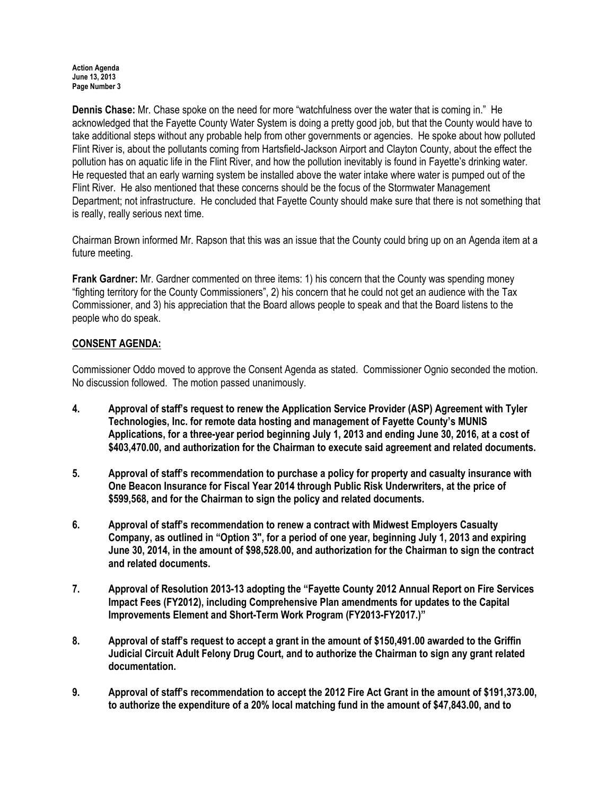Action Agenda June 13, 2013 Page Number 3

Dennis Chase: Mr. Chase spoke on the need for more "watchfulness over the water that is coming in." He acknowledged that the Fayette County Water System is doing a pretty good job, but that the County would have to take additional steps without any probable help from other governments or agencies. He spoke about how polluted Flint River is, about the pollutants coming from Hartsfield-Jackson Airport and Clayton County, about the effect the pollution has on aquatic life in the Flint River, and how the pollution inevitably is found in Fayette's drinking water. He requested that an early warning system be installed above the water intake where water is pumped out of the Flint River. He also mentioned that these concerns should be the focus of the Stormwater Management Department; not infrastructure. He concluded that Fayette County should make sure that there is not something that is really, really serious next time.

Chairman Brown informed Mr. Rapson that this was an issue that the County could bring up on an Agenda item at a future meeting.

Frank Gardner: Mr. Gardner commented on three items: 1) his concern that the County was spending money "fighting territory for the County Commissioners", 2) his concern that he could not get an audience with the Tax Commissioner, and 3) his appreciation that the Board allows people to speak and that the Board listens to the people who do speak.

## CONSENT AGENDA:

Commissioner Oddo moved to approve the Consent Agenda as stated. Commissioner Ognio seconded the motion. No discussion followed. The motion passed unanimously.

- 4. Approval of staff's request to renew the Application Service Provider (ASP) Agreement with Tyler Technologies, Inc. for remote data hosting and management of Fayette County's MUNIS Applications, for a three-year period beginning July 1, 2013 and ending June 30, 2016, at a cost of \$403,470.00, and authorization for the Chairman to execute said agreement and related documents.
- 5. Approval of staff's recommendation to purchase a policy for property and casualty insurance with One Beacon Insurance for Fiscal Year 2014 through Public Risk Underwriters, at the price of \$599,568, and for the Chairman to sign the policy and related documents.
- 6. Approval of staff's recommendation to renew a contract with Midwest Employers Casualty Company, as outlined in "Option 3", for a period of one year, beginning July 1, 2013 and expiring June 30, 2014, in the amount of \$98,528.00, and authorization for the Chairman to sign the contract and related documents.
- 7. Approval of Resolution 2013-13 adopting the "Fayette County 2012 Annual Report on Fire Services Impact Fees (FY2012), including Comprehensive Plan amendments for updates to the Capital Improvements Element and Short-Term Work Program (FY2013-FY2017.)"
- 8. Approval of staff's request to accept a grant in the amount of \$150,491.00 awarded to the Griffin Judicial Circuit Adult Felony Drug Court, and to authorize the Chairman to sign any grant related documentation.
- 9. Approval of staff's recommendation to accept the 2012 Fire Act Grant in the amount of \$191,373.00, to authorize the expenditure of a 20% local matching fund in the amount of \$47,843.00, and to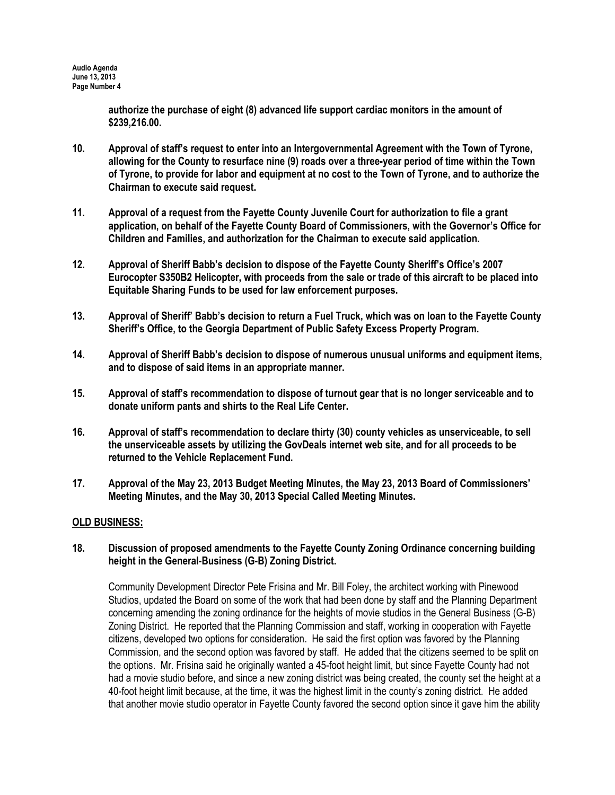authorize the purchase of eight (8) advanced life support cardiac monitors in the amount of \$239,216.00.

- 10. Approval of staff's request to enter into an Intergovernmental Agreement with the Town of Tyrone, allowing for the County to resurface nine (9) roads over a three-year period of time within the Town of Tyrone, to provide for labor and equipment at no cost to the Town of Tyrone, and to authorize the Chairman to execute said request.
- 11. Approval of a request from the Fayette County Juvenile Court for authorization to file a grant application, on behalf of the Fayette County Board of Commissioners, with the Governor's Office for Children and Families, and authorization for the Chairman to execute said application.
- 12. Approval of Sheriff Babb's decision to dispose of the Fayette County Sheriff's Office's 2007 Eurocopter S350B2 Helicopter, with proceeds from the sale or trade of this aircraft to be placed into Equitable Sharing Funds to be used for law enforcement purposes.
- 13. Approval of Sheriff' Babb's decision to return a Fuel Truck, which was on loan to the Fayette County Sheriff's Office, to the Georgia Department of Public Safety Excess Property Program.
- 14. Approval of Sheriff Babb's decision to dispose of numerous unusual uniforms and equipment items, and to dispose of said items in an appropriate manner.
- 15. Approval of staff's recommendation to dispose of turnout gear that is no longer serviceable and to donate uniform pants and shirts to the Real Life Center.
- 16. Approval of staff's recommendation to declare thirty (30) county vehicles as unserviceable, to sell the unserviceable assets by utilizing the GovDeals internet web site, and for all proceeds to be returned to the Vehicle Replacement Fund.
- 17. Approval of the May 23, 2013 Budget Meeting Minutes, the May 23, 2013 Board of Commissioners' Meeting Minutes, and the May 30, 2013 Special Called Meeting Minutes.

#### OLD BUSINESS:

18. Discussion of proposed amendments to the Fayette County Zoning Ordinance concerning building height in the General-Business (G-B) Zoning District.

Community Development Director Pete Frisina and Mr. Bill Foley, the architect working with Pinewood Studios, updated the Board on some of the work that had been done by staff and the Planning Department concerning amending the zoning ordinance for the heights of movie studios in the General Business (G-B) Zoning District. He reported that the Planning Commission and staff, working in cooperation with Fayette citizens, developed two options for consideration. He said the first option was favored by the Planning Commission, and the second option was favored by staff. He added that the citizens seemed to be split on the options. Mr. Frisina said he originally wanted a 45-foot height limit, but since Fayette County had not had a movie studio before, and since a new zoning district was being created, the county set the height at a 40-foot height limit because, at the time, it was the highest limit in the county's zoning district. He added that another movie studio operator in Fayette County favored the second option since it gave him the ability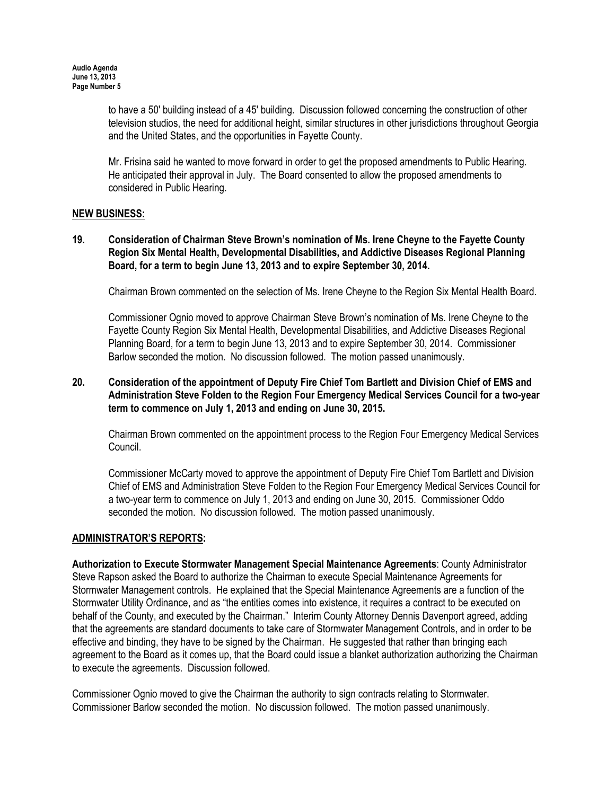to have a 50' building instead of a 45' building. Discussion followed concerning the construction of other television studios, the need for additional height, similar structures in other jurisdictions throughout Georgia and the United States, and the opportunities in Fayette County.

Mr. Frisina said he wanted to move forward in order to get the proposed amendments to Public Hearing. He anticipated their approval in July. The Board consented to allow the proposed amendments to considered in Public Hearing.

#### NEW BUSINESS:

## 19. Consideration of Chairman Steve Brown's nomination of Ms. Irene Cheyne to the Fayette County Region Six Mental Health, Developmental Disabilities, and Addictive Diseases Regional Planning Board, for a term to begin June 13, 2013 and to expire September 30, 2014.

Chairman Brown commented on the selection of Ms. Irene Cheyne to the Region Six Mental Health Board.

Commissioner Ognio moved to approve Chairman Steve Brown's nomination of Ms. Irene Cheyne to the Fayette County Region Six Mental Health, Developmental Disabilities, and Addictive Diseases Regional Planning Board, for a term to begin June 13, 2013 and to expire September 30, 2014. Commissioner Barlow seconded the motion. No discussion followed. The motion passed unanimously.

## 20. Consideration of the appointment of Deputy Fire Chief Tom Bartlett and Division Chief of EMS and Administration Steve Folden to the Region Four Emergency Medical Services Council for a two-year term to commence on July 1, 2013 and ending on June 30, 2015.

Chairman Brown commented on the appointment process to the Region Four Emergency Medical Services Council.

Commissioner McCarty moved to approve the appointment of Deputy Fire Chief Tom Bartlett and Division Chief of EMS and Administration Steve Folden to the Region Four Emergency Medical Services Council for a two-year term to commence on July 1, 2013 and ending on June 30, 2015. Commissioner Oddo seconded the motion. No discussion followed. The motion passed unanimously.

## ADMINISTRATOR'S REPORTS:

Authorization to Execute Stormwater Management Special Maintenance Agreements: County Administrator Steve Rapson asked the Board to authorize the Chairman to execute Special Maintenance Agreements for Stormwater Management controls. He explained that the Special Maintenance Agreements are a function of the Stormwater Utility Ordinance, and as "the entities comes into existence, it requires a contract to be executed on behalf of the County, and executed by the Chairman." Interim County Attorney Dennis Davenport agreed, adding that the agreements are standard documents to take care of Stormwater Management Controls, and in order to be effective and binding, they have to be signed by the Chairman. He suggested that rather than bringing each agreement to the Board as it comes up, that the Board could issue a blanket authorization authorizing the Chairman to execute the agreements. Discussion followed.

Commissioner Ognio moved to give the Chairman the authority to sign contracts relating to Stormwater. Commissioner Barlow seconded the motion. No discussion followed. The motion passed unanimously.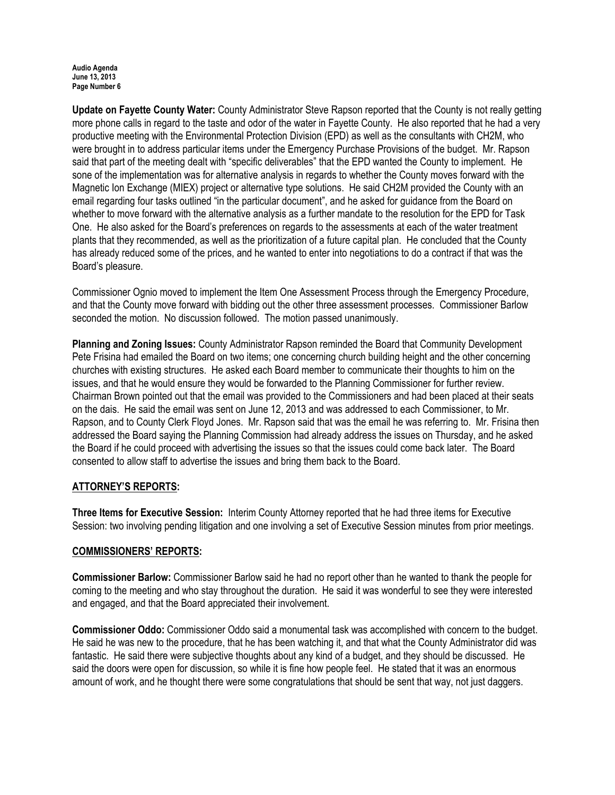#### Audio Agenda June 13, 2013 Page Number 6

Update on Fayette County Water: County Administrator Steve Rapson reported that the County is not really getting more phone calls in regard to the taste and odor of the water in Fayette County. He also reported that he had a very productive meeting with the Environmental Protection Division (EPD) as well as the consultants with CH2M, who were brought in to address particular items under the Emergency Purchase Provisions of the budget. Mr. Rapson said that part of the meeting dealt with "specific deliverables" that the EPD wanted the County to implement. He sone of the implementation was for alternative analysis in regards to whether the County moves forward with the Magnetic Ion Exchange (MIEX) project or alternative type solutions. He said CH2M provided the County with an email regarding four tasks outlined "in the particular document", and he asked for guidance from the Board on whether to move forward with the alternative analysis as a further mandate to the resolution for the EPD for Task One. He also asked for the Board's preferences on regards to the assessments at each of the water treatment plants that they recommended, as well as the prioritization of a future capital plan. He concluded that the County has already reduced some of the prices, and he wanted to enter into negotiations to do a contract if that was the Board's pleasure.

Commissioner Ognio moved to implement the Item One Assessment Process through the Emergency Procedure, and that the County move forward with bidding out the other three assessment processes. Commissioner Barlow seconded the motion. No discussion followed. The motion passed unanimously.

Planning and Zoning Issues: County Administrator Rapson reminded the Board that Community Development Pete Frisina had emailed the Board on two items; one concerning church building height and the other concerning churches with existing structures. He asked each Board member to communicate their thoughts to him on the issues, and that he would ensure they would be forwarded to the Planning Commissioner for further review. Chairman Brown pointed out that the email was provided to the Commissioners and had been placed at their seats on the dais. He said the email was sent on June 12, 2013 and was addressed to each Commissioner, to Mr. Rapson, and to County Clerk Floyd Jones. Mr. Rapson said that was the email he was referring to. Mr. Frisina then addressed the Board saying the Planning Commission had already address the issues on Thursday, and he asked the Board if he could proceed with advertising the issues so that the issues could come back later. The Board consented to allow staff to advertise the issues and bring them back to the Board.

## ATTORNEY'S REPORTS:

Three Items for Executive Session: Interim County Attorney reported that he had three items for Executive Session: two involving pending litigation and one involving a set of Executive Session minutes from prior meetings.

#### COMMISSIONERS' REPORTS:

Commissioner Barlow: Commissioner Barlow said he had no report other than he wanted to thank the people for coming to the meeting and who stay throughout the duration. He said it was wonderful to see they were interested and engaged, and that the Board appreciated their involvement.

Commissioner Oddo: Commissioner Oddo said a monumental task was accomplished with concern to the budget. He said he was new to the procedure, that he has been watching it, and that what the County Administrator did was fantastic. He said there were subjective thoughts about any kind of a budget, and they should be discussed. He said the doors were open for discussion, so while it is fine how people feel. He stated that it was an enormous amount of work, and he thought there were some congratulations that should be sent that way, not just daggers.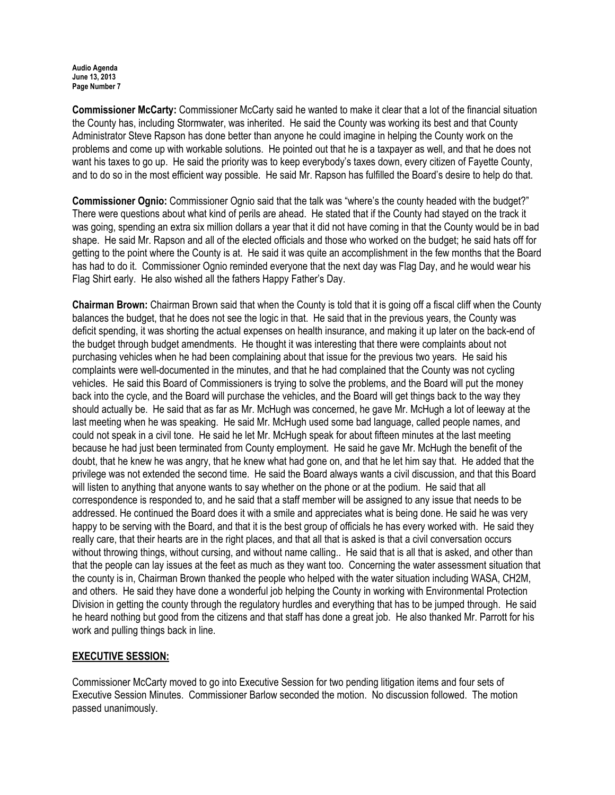#### Audio Agenda June 13, 2013 Page Number 7

Commissioner McCarty: Commissioner McCarty said he wanted to make it clear that a lot of the financial situation the County has, including Stormwater, was inherited. He said the County was working its best and that County Administrator Steve Rapson has done better than anyone he could imagine in helping the County work on the problems and come up with workable solutions. He pointed out that he is a taxpayer as well, and that he does not want his taxes to go up. He said the priority was to keep everybody's taxes down, every citizen of Fayette County, and to do so in the most efficient way possible. He said Mr. Rapson has fulfilled the Board's desire to help do that.

Commissioner Ognio: Commissioner Ognio said that the talk was "where's the county headed with the budget?" There were questions about what kind of perils are ahead. He stated that if the County had stayed on the track it was going, spending an extra six million dollars a year that it did not have coming in that the County would be in bad shape. He said Mr. Rapson and all of the elected officials and those who worked on the budget; he said hats off for getting to the point where the County is at. He said it was quite an accomplishment in the few months that the Board has had to do it. Commissioner Ognio reminded everyone that the next day was Flag Day, and he would wear his Flag Shirt early. He also wished all the fathers Happy Father's Day.

Chairman Brown: Chairman Brown said that when the County is told that it is going off a fiscal cliff when the County balances the budget, that he does not see the logic in that. He said that in the previous years, the County was deficit spending, it was shorting the actual expenses on health insurance, and making it up later on the back-end of the budget through budget amendments. He thought it was interesting that there were complaints about not purchasing vehicles when he had been complaining about that issue for the previous two years. He said his complaints were well-documented in the minutes, and that he had complained that the County was not cycling vehicles. He said this Board of Commissioners is trying to solve the problems, and the Board will put the money back into the cycle, and the Board will purchase the vehicles, and the Board will get things back to the way they should actually be. He said that as far as Mr. McHugh was concerned, he gave Mr. McHugh a lot of leeway at the last meeting when he was speaking. He said Mr. McHugh used some bad language, called people names, and could not speak in a civil tone. He said he let Mr. McHugh speak for about fifteen minutes at the last meeting because he had just been terminated from County employment. He said he gave Mr. McHugh the benefit of the doubt, that he knew he was angry, that he knew what had gone on, and that he let him say that. He added that the privilege was not extended the second time. He said the Board always wants a civil discussion, and that this Board will listen to anything that anyone wants to say whether on the phone or at the podium. He said that all correspondence is responded to, and he said that a staff member will be assigned to any issue that needs to be addressed. He continued the Board does it with a smile and appreciates what is being done. He said he was very happy to be serving with the Board, and that it is the best group of officials he has every worked with. He said they really care, that their hearts are in the right places, and that all that is asked is that a civil conversation occurs without throwing things, without cursing, and without name calling.. He said that is all that is asked, and other than that the people can lay issues at the feet as much as they want too. Concerning the water assessment situation that the county is in, Chairman Brown thanked the people who helped with the water situation including WASA, CH2M, and others. He said they have done a wonderful job helping the County in working with Environmental Protection Division in getting the county through the regulatory hurdles and everything that has to be jumped through. He said he heard nothing but good from the citizens and that staff has done a great job. He also thanked Mr. Parrott for his work and pulling things back in line.

# EXECUTIVE SESSION:

Commissioner McCarty moved to go into Executive Session for two pending litigation items and four sets of Executive Session Minutes. Commissioner Barlow seconded the motion. No discussion followed. The motion passed unanimously.